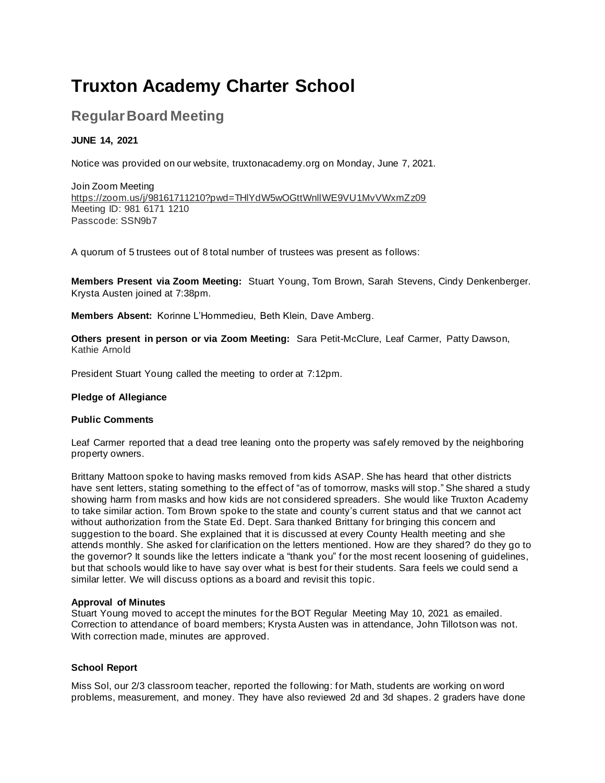# **Truxton Academy Charter School**

# **Regular Board Meeting**

# **JUNE 14, 2021**

Notice was provided on our website, truxtonacademy.org on Monday, June 7, 2021.

Join Zoom Meeting https://zoom.us/j/98161711210?pwd=THlYdW5wOGttWnllWE9VU1MvVWxmZz09 Meeting ID: 981 6171 1210 Passcode: SSN9b7

A quorum of 5 trustees out of 8 total number of trustees was present as follows:

**Members Present via Zoom Meeting:** Stuart Young, Tom Brown, Sarah Stevens, Cindy Denkenberger. Krysta Austen joined at 7:38pm.

**Members Absent:** Korinne L'Hommedieu, Beth Klein, Dave Amberg.

**Others present in person or via Zoom Meeting:** Sara Petit-McClure, Leaf Carmer, Patty Dawson, Kathie Arnold

President Stuart Young called the meeting to order at 7:12pm.

#### **Pledge of Allegiance**

#### **Public Comments**

Leaf Carmer reported that a dead tree leaning onto the property was safely removed by the neighboring property owners.

Brittany Mattoon spoke to having masks removed from kids ASAP. She has heard that other districts have sent letters, stating something to the effect of "as of tomorrow, masks will stop." She shared a study showing harm from masks and how kids are not considered spreaders. She would like Truxton Academy to take similar action. Tom Brown spoke to the state and county's current status and that we cannot act without authorization from the State Ed. Dept. Sara thanked Brittany for bringing this concern and suggestion to the board. She explained that it is discussed at every County Health meeting and she attends monthly. She asked for clarification on the letters mentioned. How are they shared? do they go to the governor? It sounds like the letters indicate a "thank you" for the most recent loosening of guidelines, but that schools would like to have say over what is best for their students. Sara feels we could send a similar letter. We will discuss options as a board and revisit this topic.

#### **Approval of Minutes**

Stuart Young moved to accept the minutes for the BOT Regular Meeting May 10, 2021 as emailed. Correction to attendance of board members; Krysta Austen was in attendance, John Tillotson was not. With correction made, minutes are approved.

# **School Report**

Miss Sol, our 2/3 classroom teacher, reported the following: for Math, students are working on word problems, measurement, and money. They have also reviewed 2d and 3d shapes. 2 graders have done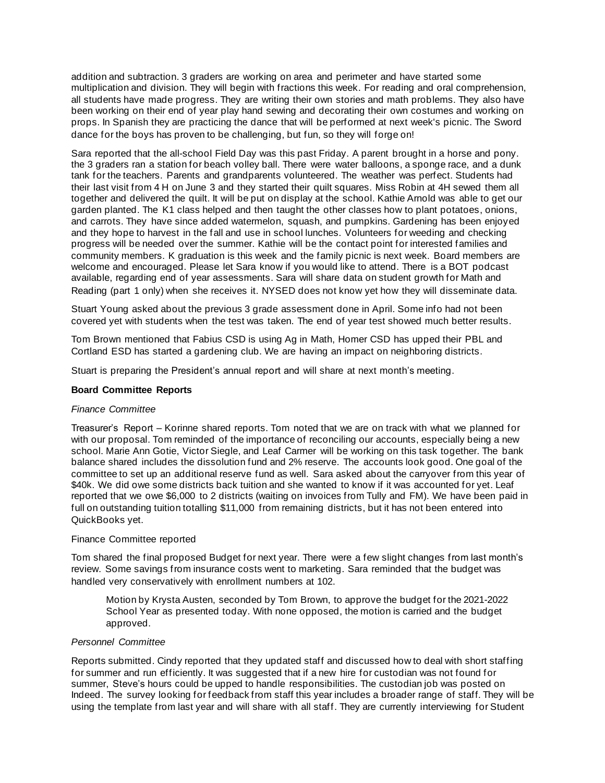addition and subtraction. 3 graders are working on area and perimeter and have started some multiplication and division. They will begin with fractions this week. For reading and oral comprehension, all students have made progress. They are writing their own stories and math problems. They also have been working on their end of year play hand sewing and decorating their own costumes and working on props. In Spanish they are practicing the dance that will be performed at next week's picnic. The Sword dance for the boys has proven to be challenging, but fun, so they will forge on!

Sara reported that the all-school Field Day was this past Friday. A parent brought in a horse and pony. the 3 graders ran a station for beach volley ball. There were water balloons, a sponge race, and a dunk tank for the teachers. Parents and grandparents volunteered. The weather was perfect. Students had their last visit from 4 H on June 3 and they started their quilt squares. Miss Robin at 4H sewed them all together and delivered the quilt. It will be put on display at the school. Kathie Arnold was able to get our garden planted. The K1 class helped and then taught the other classes how to plant potatoes, onions, and carrots. They have since added watermelon, squash, and pumpkins. Gardening has been enjoyed and they hope to harvest in the fall and use in school lunches. Volunteers for weeding and checking progress will be needed over the summer. Kathie will be the contact point for interested families and community members. K graduation is this week and the family picnic is next week. Board members are welcome and encouraged. Please let Sara know if you would like to attend. There is a BOT podcast available, regarding end of year assessments. Sara will share data on student growth for Math and Reading (part 1 only) when she receives it. NYSED does not know yet how they will disseminate data.

Stuart Young asked about the previous 3 grade assessment done in April. Some info had not been covered yet with students when the test was taken. The end of year test showed much better results.

Tom Brown mentioned that Fabius CSD is using Ag in Math, Homer CSD has upped their PBL and Cortland ESD has started a gardening club. We are having an impact on neighboring districts.

Stuart is preparing the President's annual report and will share at next month's meeting.

#### **Board Committee Reports**

#### *Finance Committee*

Treasurer's Report – Korinne shared reports. Tom noted that we are on track with what we planned for with our proposal. Tom reminded of the importance of reconciling our accounts, especially being a new school. Marie Ann Gotie, Victor Siegle, and Leaf Carmer will be working on this task together. The bank balance shared includes the dissolution fund and 2% reserve. The accounts look good. One goal of the committee to set up an additional reserve fund as well. Sara asked about the carryover from this year of \$40k. We did owe some districts back tuition and she wanted to know if it was accounted for yet. Leaf reported that we owe \$6,000 to 2 districts (waiting on invoices from Tully and FM). We have been paid in full on outstanding tuition totalling \$11,000 from remaining districts, but it has not been entered into QuickBooks yet.

#### Finance Committee reported

Tom shared the final proposed Budget for next year. There were a few slight changes from last month's review. Some savings from insurance costs went to marketing. Sara reminded that the budget was handled very conservatively with enrollment numbers at 102.

Motion by Krysta Austen, seconded by Tom Brown, to approve the budget for the 2021-2022 School Year as presented today. With none opposed, the motion is carried and the budget approved.

#### *Personnel Committee*

Reports submitted. Cindy reported that they updated staff and discussed how to deal with short staffing for summer and run efficiently. It was suggested that if a new hire for custodian was not found for summer, Steve's hours could be upped to handle responsibilities. The custodian job was posted on Indeed. The survey looking for feedback from staff this year includes a broader range of staff. They will be using the template from last year and will share with all staff. They are currently interviewing for Student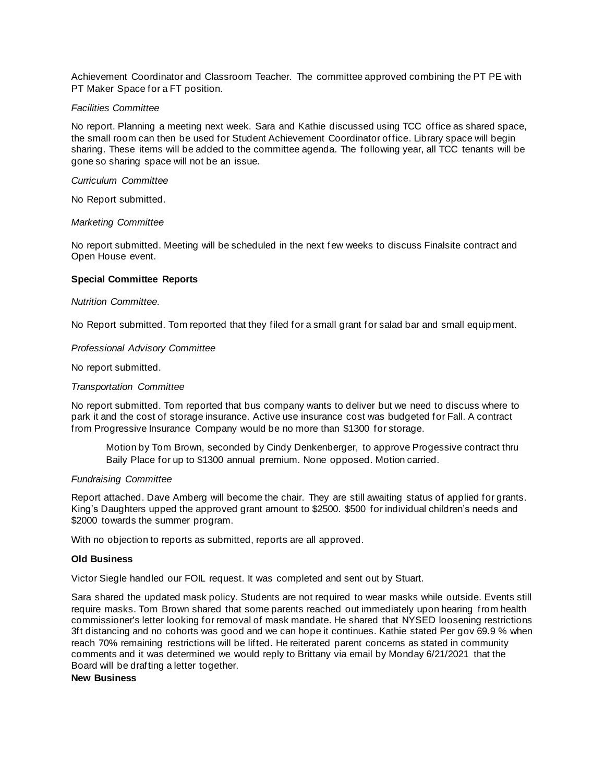Achievement Coordinator and Classroom Teacher. The committee approved combining the PT PE with PT Maker Space for a FT position.

#### *Facilities Committee*

No report. Planning a meeting next week. Sara and Kathie discussed using TCC office as shared space, the small room can then be used for Student Achievement Coordinator office. Library space will begin sharing. These items will be added to the committee agenda. The following year, all TCC tenants will be gone so sharing space will not be an issue.

#### *Curriculum Committee*

No Report submitted.

#### *Marketing Committee*

No report submitted. Meeting will be scheduled in the next few weeks to discuss Finalsite contract and Open House event.

#### **Special Committee Reports**

#### *Nutrition Committee.*

No Report submitted. Tom reported that they filed for a small grant for salad bar and small equip ment.

#### *Professional Advisory Committee*

No report submitted.

#### *Transportation Committee*

No report submitted. Tom reported that bus company wants to deliver but we need to discuss where to park it and the cost of storage insurance. Active use insurance cost was budgeted for Fall. A contract from Progressive Insurance Company would be no more than \$1300 for storage.

Motion by Tom Brown, seconded by Cindy Denkenberger, to approve Progessive contract thru Baily Place for up to \$1300 annual premium. None opposed. Motion carried.

#### *Fundraising Committee*

Report attached. Dave Amberg will become the chair. They are still awaiting status of applied for grants. King's Daughters upped the approved grant amount to \$2500. \$500 for individual children's needs and \$2000 towards the summer program.

With no objection to reports as submitted, reports are all approved.

#### **Old Business**

Victor Siegle handled our FOIL request. It was completed and sent out by Stuart.

Sara shared the updated mask policy. Students are not required to wear masks while outside. Events still require masks. Tom Brown shared that some parents reached out immediately upon hearing from health commissioner's letter looking for removal of mask mandate. He shared that NYSED loosening restrictions 3ft distancing and no cohorts was good and we can hope it continues. Kathie stated Per gov 69.9 % when reach 70% remaining restrictions will be lifted. He reiterated parent concerns as stated in community comments and it was determined we would reply to Brittany via email by Monday 6/21/2021 that the Board will be drafting a letter together.

#### **New Business**